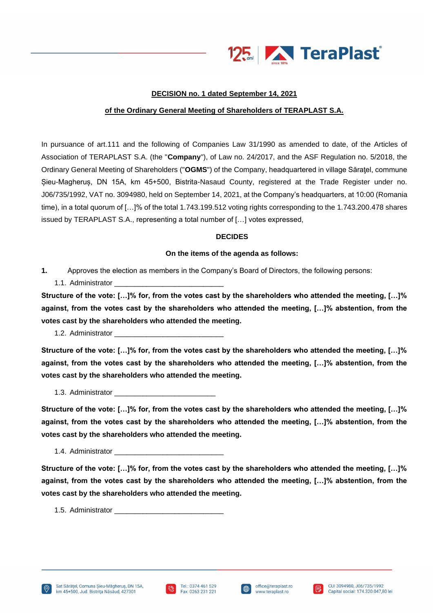

## **DECISION no. 1 dated September 14, 2021**

## **of the Ordinary General Meeting of Shareholders of TERAPLAST S.A.**

In pursuance of art.111 and the following of Companies Law 31/1990 as amended to date, of the Articles of Association of TERAPLAST S.A. (the "**Company**"), of Law no. 24/2017, and the ASF Regulation no. 5/2018, the Ordinary General Meeting of Shareholders ("**OGMS**") of the Company, headquartered in village Săratel, commune Șieu-Magheruș, DN 15A, km 45+500, Bistrita-Nasaud County, registered at the Trade Register under no. J06/735/1992, VAT no. 3094980, held on September 14, 2021, at the Company's headquarters, at 10:00 (Romania time), in a total quorum of […]% of the total 1.743.199.512 voting rights corresponding to the 1.743.200.478 shares issued by TERAPLAST S.A., representing a total number of […] votes expressed,

## **DECIDES**

## **On the items of the agenda as follows:**

- **1.** Approves the election as members in the Company's Board of Directors, the following persons:
	- 1.1. Administrator

**Structure of the vote: […]% for, from the votes cast by the shareholders who attended the meeting, […]% against, from the votes cast by the shareholders who attended the meeting, […]% abstention, from the votes cast by the shareholders who attended the meeting.**

1.2. Administrator

**Structure of the vote: […]% for, from the votes cast by the shareholders who attended the meeting, […]% against, from the votes cast by the shareholders who attended the meeting, […]% abstention, from the votes cast by the shareholders who attended the meeting.**

1.3. Administrator

**Structure of the vote: […]% for, from the votes cast by the shareholders who attended the meeting, […]% against, from the votes cast by the shareholders who attended the meeting, […]% abstention, from the votes cast by the shareholders who attended the meeting.**

1.4. Administrator

**Structure of the vote: […]% for, from the votes cast by the shareholders who attended the meeting, […]% against, from the votes cast by the shareholders who attended the meeting, […]% abstention, from the votes cast by the shareholders who attended the meeting.**

1.5. Administrator